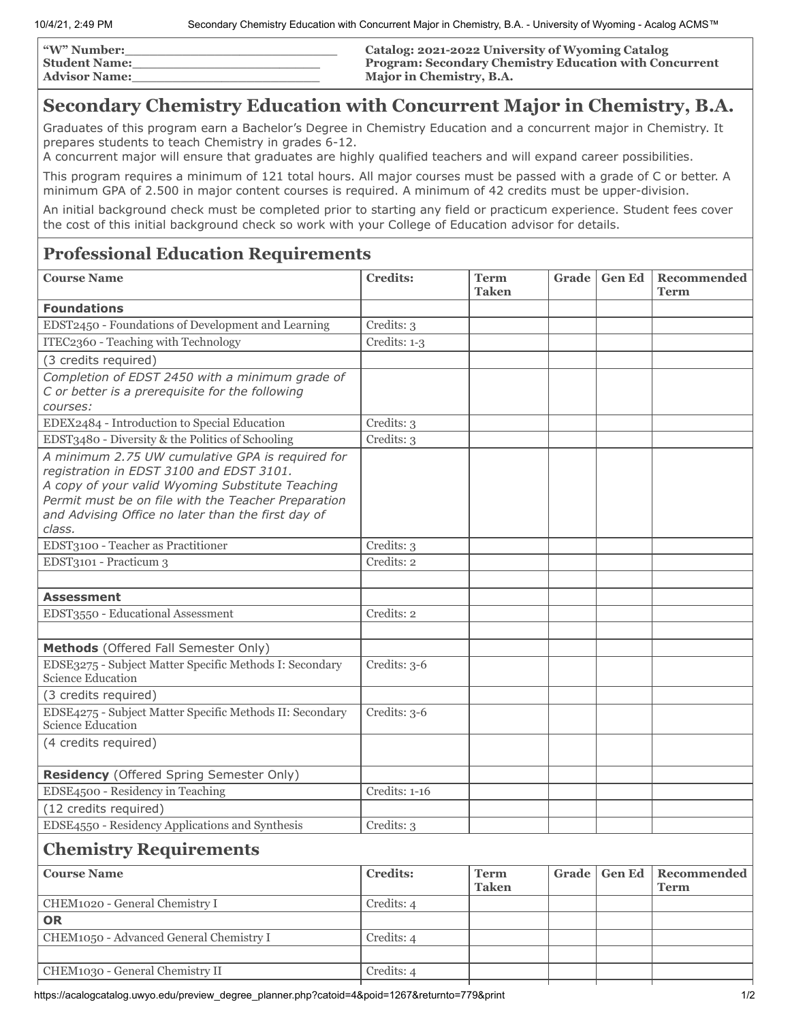| <b><i>W</i></b> " Number: | Catalog: 2021-2022 University of Wyoming Catalog              |
|---------------------------|---------------------------------------------------------------|
| <b>Student Name:</b>      | <b>Program: Secondary Chemistry Education with Concurrent</b> |
| <b>Advisor Name:</b>      | Major in Chemistry, B.A.                                      |

## **Secondary Chemistry Education with Concurrent Major in Chemistry, B.A.**

Graduates of this program earn a Bachelor's Degree in Chemistry Education and a concurrent major in Chemistry. It prepares students to teach Chemistry in grades 6-12.

A concurrent major will ensure that graduates are highly qualified teachers and will expand career possibilities.

This program requires a minimum of 121 total hours. All major courses must be passed with a grade of C or better. A minimum GPA of 2.500 in major content courses is required. A minimum of 42 credits must be upper-division.

An initial background check must be completed prior to starting any field or practicum experience. Student fees cover the cost of this initial background check so work with your College of Education advisor for details.

## **Professional Education Requirements**

| <b>Course Name</b>                                                                                                                                                                                                                                                      | <b>Credits:</b> | <b>Term</b><br><b>Taken</b> | <b>Grade</b> | <b>Gen Ed</b> | Recommended<br><b>Term</b> |
|-------------------------------------------------------------------------------------------------------------------------------------------------------------------------------------------------------------------------------------------------------------------------|-----------------|-----------------------------|--------------|---------------|----------------------------|
| <b>Foundations</b>                                                                                                                                                                                                                                                      |                 |                             |              |               |                            |
| EDST2450 - Foundations of Development and Learning                                                                                                                                                                                                                      | Credits: 3      |                             |              |               |                            |
| ITEC2360 - Teaching with Technology                                                                                                                                                                                                                                     | Credits: 1-3    |                             |              |               |                            |
| (3 credits required)                                                                                                                                                                                                                                                    |                 |                             |              |               |                            |
| Completion of EDST 2450 with a minimum grade of<br>C or better is a prerequisite for the following                                                                                                                                                                      |                 |                             |              |               |                            |
| courses:                                                                                                                                                                                                                                                                |                 |                             |              |               |                            |
| EDEX2484 - Introduction to Special Education                                                                                                                                                                                                                            | Credits: 3      |                             |              |               |                            |
| EDST3480 - Diversity & the Politics of Schooling                                                                                                                                                                                                                        | Credits: 3      |                             |              |               |                            |
| A minimum 2.75 UW cumulative GPA is required for<br>registration in EDST 3100 and EDST 3101.<br>A copy of your valid Wyoming Substitute Teaching<br>Permit must be on file with the Teacher Preparation<br>and Advising Office no later than the first day of<br>class. |                 |                             |              |               |                            |
| EDST3100 - Teacher as Practitioner                                                                                                                                                                                                                                      | Credits: 3      |                             |              |               |                            |
| EDST3101 - Practicum 3                                                                                                                                                                                                                                                  | Credits: 2      |                             |              |               |                            |
|                                                                                                                                                                                                                                                                         |                 |                             |              |               |                            |
| <b>Assessment</b>                                                                                                                                                                                                                                                       |                 |                             |              |               |                            |
| EDST3550 - Educational Assessment                                                                                                                                                                                                                                       | Credits: 2      |                             |              |               |                            |
|                                                                                                                                                                                                                                                                         |                 |                             |              |               |                            |
| Methods (Offered Fall Semester Only)                                                                                                                                                                                                                                    |                 |                             |              |               |                            |
| EDSE3275 - Subject Matter Specific Methods I: Secondary<br>Science Education                                                                                                                                                                                            | Credits: 3-6    |                             |              |               |                            |
| (3 credits required)                                                                                                                                                                                                                                                    |                 |                             |              |               |                            |
| EDSE4275 - Subject Matter Specific Methods II: Secondary<br><b>Science Education</b>                                                                                                                                                                                    | Credits: 3-6    |                             |              |               |                            |
| (4 credits required)                                                                                                                                                                                                                                                    |                 |                             |              |               |                            |
| Residency (Offered Spring Semester Only)                                                                                                                                                                                                                                |                 |                             |              |               |                            |
| EDSE4500 - Residency in Teaching                                                                                                                                                                                                                                        | Credits: 1-16   |                             |              |               |                            |
| (12 credits required)                                                                                                                                                                                                                                                   |                 |                             |              |               |                            |
| EDSE4550 - Residency Applications and Synthesis                                                                                                                                                                                                                         | Credits: 3      |                             |              |               |                            |
| <b>Chemistry Requirements</b>                                                                                                                                                                                                                                           |                 |                             |              |               |                            |
| <b>Course Name</b>                                                                                                                                                                                                                                                      | <b>Credits:</b> | <b>Term</b><br><b>Taken</b> | Grade        | <b>Gen Ed</b> | Recommended<br><b>Term</b> |
| CHEM1020 - General Chemistry I                                                                                                                                                                                                                                          | Credits: 4      |                             |              |               |                            |
| <b>OR</b>                                                                                                                                                                                                                                                               |                 |                             |              |               |                            |
| CHEM1050 - Advanced General Chemistry I                                                                                                                                                                                                                                 | Credits: 4      |                             |              |               |                            |
|                                                                                                                                                                                                                                                                         |                 |                             |              |               |                            |
| CHEM1030 - General Chemistry II                                                                                                                                                                                                                                         | Credits: 4      |                             |              |               |                            |

https://acalogcatalog.uwyo.edu/preview\_degree\_planner.php?catoid=4&poid=1267&returnto=779&print 1/2